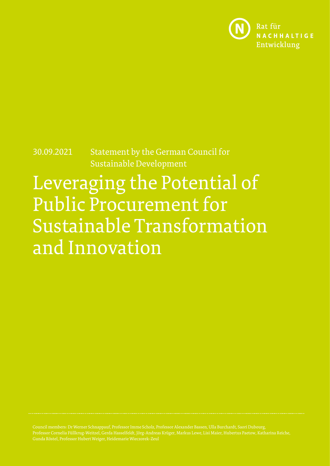

30.09.2021 Statement by the German Council for Sustainable Development

Leveraging the Potential of Public Procurement for Sustainable Transformation and Innovation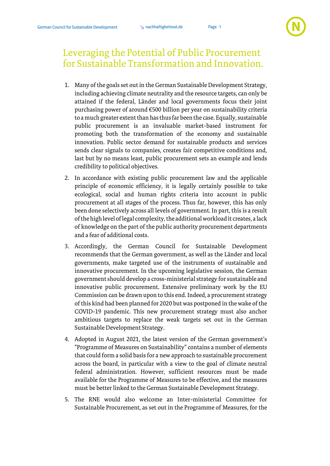## Leveraging the Potential of Public Procurement for Sustainable Transformation and Innovation.

- 1. Many of the goals set out in the German Sustainable Development Strategy, including achieving climate neutrality and the resource targets, can only be attained if the federal, Länder and local governments focus their joint purchasing power of around €500 billion per year on sustainability criteria to a much greater extent than has thus far been the case. Equally, sustainable public procurement is an invaluable market-based instrument for promoting both the transformation of the economy and sustainable innovation. Public sector demand for sustainable products and services sends clear signals to companies, creates fair competitive conditions and, last but by no means least, public procurement sets an example and lends credibility to political objectives.
- 2. In accordance with existing public procurement law and the applicable principle of economic efficiency, it is legally certainly possible to take ecological, social and human rights criteria into account in public procurement at all stages of the process. Thus far, however, this has only been done selectively across all levels of government. In part, this is a result of the high level of legal complexity, the additional workload it creates, a lack of knowledge on the part of the public authority procurement departments and a fear of additional costs.
- 3. Accordingly, the German Council for Sustainable Development recommends that the German government, as well as the Länder and local governments, make targeted use of the instruments of sustainable and innovative procurement. In the upcoming legislative session, the German government should develop a cross-ministerial strategy for sustainable and innovative public procurement. Extensive preliminary work by the EU Commission can be drawn upon to this end. Indeed, a procurement strategy of this kind had been planned for 2020 but was postponed in the wake of the COVID-19 pandemic. This new procurement strategy must also anchor ambitious targets to replace the weak targets set out in the German Sustainable Development Strategy.
- 4. Adopted in August 2021, the latest version of the German government's "Programme of Measures on Sustainability" contains a number of elements that could form a solid basis for a new approach to sustainable procurement across the board, in particular with a view to the goal of climate neutral federal administration. However, sufficient resources must be made available for the Programme of Measures to be effective, and the measures must be better linked to the German Sustainable Development Strategy.
- 5. The RNE would also welcome an Inter-ministerial Committee for Sustainable Procurement, as set out in the Programme of Measures, for the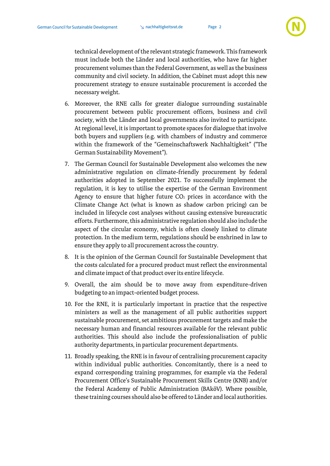

technical development of the relevant strategic framework. This framework must include both the Länder and local authorities, who have far higher procurement volumes than the Federal Government, as well as the business community and civil society. In addition, the Cabinet must adopt this new procurement strategy to ensure sustainable procurement is accorded the necessary weight.

- 6. Moreover, the RNE calls for greater dialogue surrounding sustainable procurement between public procurement officers, business and civil society, with the Länder and local governments also invited to participate. At regional level, it is important to promote spaces for dialogue that involve both buyers and suppliers (e.g. with chambers of industry and commerce within the framework of the "Gemeinschaftswerk Nachhaltigkeit" ("The German Sustainability Movement").
- 7. The German Council for Sustainable Development also welcomes the new administrative regulation on climate-friendly procurement by federal authorities adopted in September 2021. To successfully implement the regulation, it is key to utilise the expertise of the German Environment Agency to ensure that higher future  $CO<sub>2</sub>$  prices in accordance with the Climate Change Act (what is known as shadow carbon pricing) can be included in lifecycle cost analyses without causing extensive bureaucratic efforts. Furthermore, this administrative regulation should also include the aspect of the circular economy, which is often closely linked to climate protection. In the medium term, regulations should be enshrined in law to ensure they apply to all procurement across the country.
- 8. It is the opinion of the German Council for Sustainable Development that the costs calculated for a procured product must reflect the environmental and climate impact of that product over its entire lifecycle.
- 9. Overall, the aim should be to move away from expenditure-driven budgeting to an impact-oriented budget process.
- 10. For the RNE, it is particularly important in practice that the respective ministers as well as the management of all public authorities support sustainable procurement, set ambitious procurement targets and make the necessary human and financial resources available for the relevant public authorities. This should also include the professionalisation of public authority departments, in particular procurement departments.
- 11. Broadly speaking, the RNE is in favour of centralising procurement capacity within individual public authorities. Concomitantly, there is a need to expand corresponding training programmes, for example via the Federal Procurement Office's Sustainable Procurement Skills Centre (KNB) and/or the Federal Academy of Public Administration (BAköV). Where possible, these training courses should also be offered to Länder and local authorities.